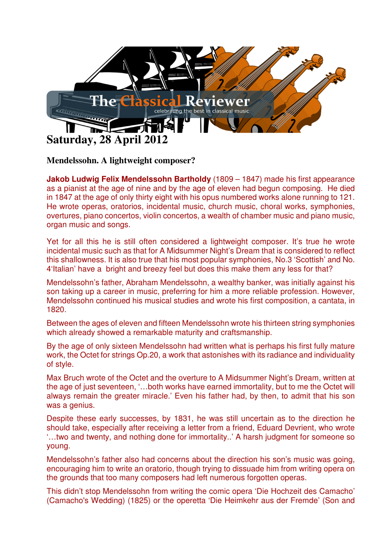

**Mendelssohn. A lightweight composer?** 

**Jakob Ludwig Felix Mendelssohn Bartholdy** (1809 – 1847) made his first appearance as a pianist at the age of nine and by the age of eleven had begun composing. He died in 1847 at the age of only thirty eight with his opus numbered works alone running to 121. He wrote operas, oratorios, incidental music, church music, choral works, symphonies, overtures, piano concertos, violin concertos, a wealth of chamber music and piano music, organ music and songs.

Yet for all this he is still often considered a lightweight composer. It's true he wrote incidental music such as that for A Midsummer Night's Dream that is considered to reflect this shallowness. It is also true that his most popular symphonies, No.3 'Scottish' and No. 4'Italian' have a bright and breezy feel but does this make them any less for that?

Mendelssohn's father, Abraham Mendelssohn, a wealthy banker, was initially against his son taking up a career in music, preferring for him a more reliable profession. However, Mendelssohn continued his musical studies and wrote his first composition, a cantata, in 1820.

Between the ages of eleven and fifteen Mendelssohn wrote his thirteen string symphonies which already showed a remarkable maturity and craftsmanship.

By the age of only sixteen Mendelssohn had written what is perhaps his first fully mature work, the Octet for strings Op.20, a work that astonishes with its radiance and individuality of style.

Max Bruch wrote of the Octet and the overture to A Midsummer Night's Dream, written at the age of just seventeen, '…both works have earned immortality, but to me the Octet will always remain the greater miracle.' Even his father had, by then, to admit that his son was a genius.

Despite these early successes, by 1831, he was still uncertain as to the direction he should take, especially after receiving a letter from a friend, Eduard Devrient, who wrote '…two and twenty, and nothing done for immortality..' A harsh judgment for someone so young.

Mendelssohn's father also had concerns about the direction his son's music was going, encouraging him to write an oratorio, though trying to dissuade him from writing opera on the grounds that too many composers had left numerous forgotten operas.

This didn't stop Mendelssohn from writing the comic opera 'Die Hochzeit des Camacho' (Camacho's Wedding) (1825) or the operetta 'Die Heimkehr aus der Fremde' (Son and